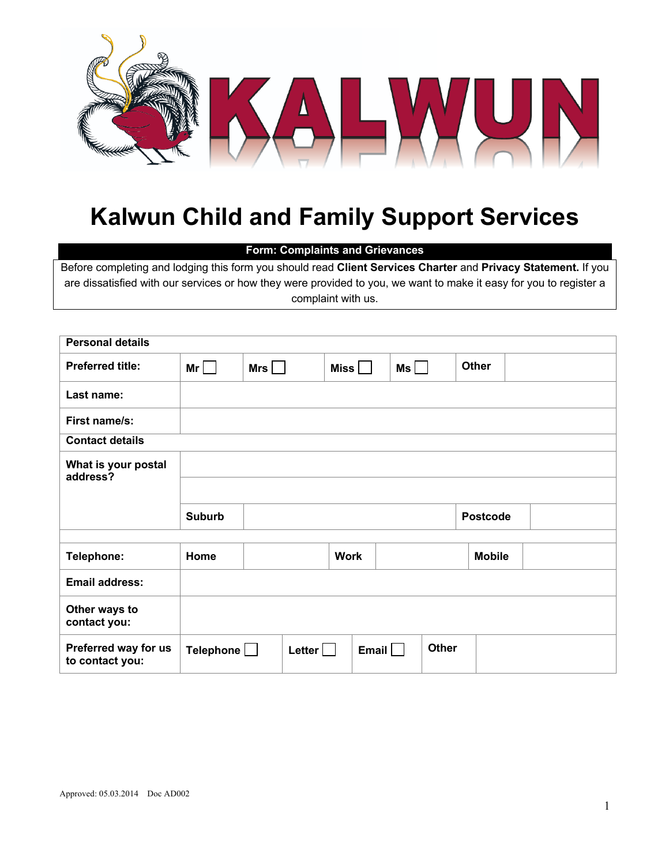

## **Kalwun Child and Family Support Services**

## **Form: Complaints and Grievances**

Before completing and lodging this form you should read **Client Services Charter** and **Privacy Statement.** If you are dissatisfied with our services or how they were provided to you, we want to make it easy for you to register a complaint with us.

| <b>Personal details</b>                 |                  |       |                |                      |    |              |                 |  |
|-----------------------------------------|------------------|-------|----------------|----------------------|----|--------------|-----------------|--|
| <b>Preferred title:</b>                 | Mr               | $Mrs$ |                | Miss $\vert$ $\vert$ | Ms |              | <b>Other</b>    |  |
| Last name:                              |                  |       |                |                      |    |              |                 |  |
| First name/s:                           |                  |       |                |                      |    |              |                 |  |
| <b>Contact details</b>                  |                  |       |                |                      |    |              |                 |  |
| What is your postal<br>address?         |                  |       |                |                      |    |              |                 |  |
|                                         |                  |       |                |                      |    |              |                 |  |
|                                         | <b>Suburb</b>    |       |                |                      |    |              | <b>Postcode</b> |  |
| Telephone:                              | Home             |       |                | <b>Work</b>          |    |              | <b>Mobile</b>   |  |
| <b>Email address:</b>                   |                  |       |                |                      |    |              |                 |  |
| Other ways to<br>contact you:           |                  |       |                |                      |    |              |                 |  |
| Preferred way for us<br>to contact you: | Telephone $\Box$ |       | Letter $\vert$ | Email                |    | <b>Other</b> |                 |  |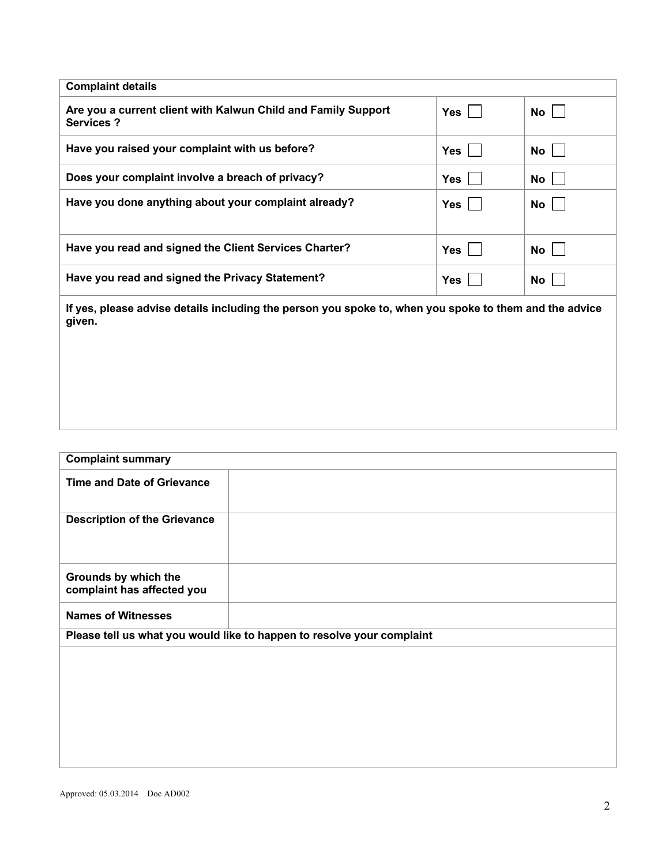| <b>Complaint details</b>                                                                                |            |           |  |  |
|---------------------------------------------------------------------------------------------------------|------------|-----------|--|--|
| Are you a current client with Kalwun Child and Family Support<br><b>Services?</b>                       | Yes        | No        |  |  |
| Have you raised your complaint with us before?                                                          | Yes        | No        |  |  |
| Does your complaint involve a breach of privacy?                                                        | <b>Yes</b> | <b>No</b> |  |  |
| Have you done anything about your complaint already?                                                    | <b>Yes</b> | No        |  |  |
| Have you read and signed the Client Services Charter?                                                   | $Yes$      | No        |  |  |
| Have you read and signed the Privacy Statement?                                                         | <b>Yes</b> | No        |  |  |
| if yaa jalaasa sabisa datalis insimiling the newsen yeu speks to juden yeu speks to them and the sabise |            |           |  |  |

**If yes, please advise details including the person you spoke to, when you spoke to them and the advice given.**

| <b>Complaint summary</b>                                               |
|------------------------------------------------------------------------|
| <b>Time and Date of Grievance</b>                                      |
| <b>Description of the Grievance</b>                                    |
| Grounds by which the<br>complaint has affected you                     |
| <b>Names of Witnesses</b>                                              |
| Please tell us what you would like to happen to resolve your complaint |
|                                                                        |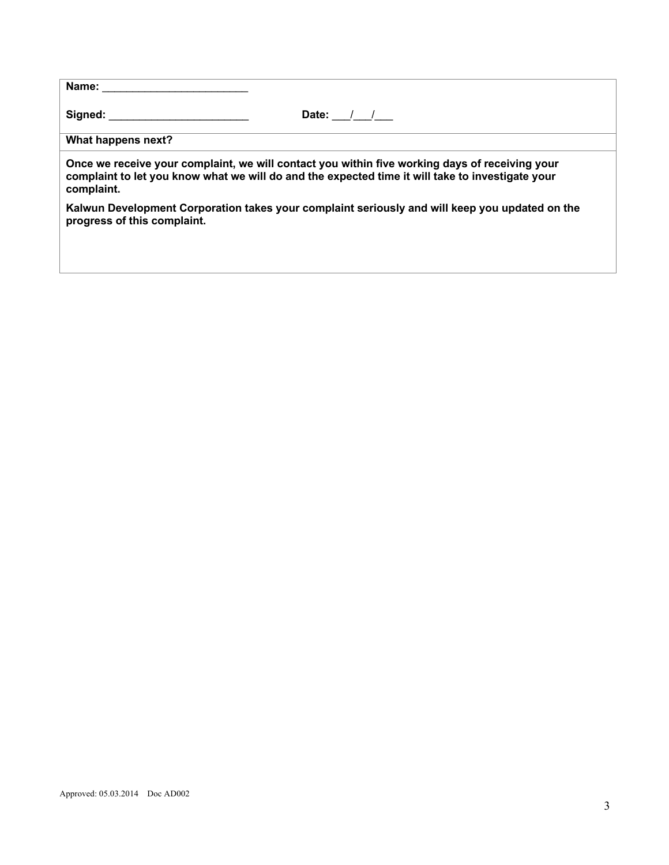| Name:                                                                                                                                                                                                                          |                                                                                                                                                                                                    |
|--------------------------------------------------------------------------------------------------------------------------------------------------------------------------------------------------------------------------------|----------------------------------------------------------------------------------------------------------------------------------------------------------------------------------------------------|
| Signed: the contract of the contract of the contract of the contract of the contract of the contract of the contract of the contract of the contract of the contract of the contract of the contract of the contract of the co | Date: $/$ /                                                                                                                                                                                        |
| What happens next?                                                                                                                                                                                                             |                                                                                                                                                                                                    |
| complaint.                                                                                                                                                                                                                     | Once we receive your complaint, we will contact you within five working days of receiving your<br>complaint to let you know what we will do and the expected time it will take to investigate your |
| progress of this complaint.                                                                                                                                                                                                    | Kalwun Development Corporation takes your complaint seriously and will keep you updated on the                                                                                                     |
|                                                                                                                                                                                                                                |                                                                                                                                                                                                    |